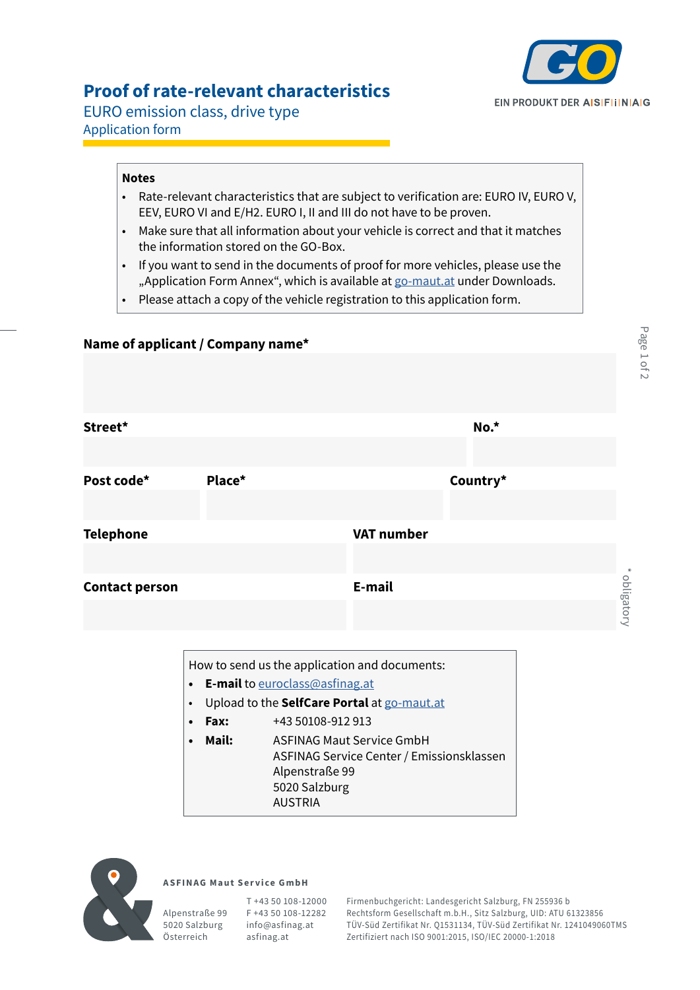

Page 1 of 2

# **Proof of rate-relevant characteristics**

EURO emission class, drive type Application form

**Name of applicant / Company name\***

### **Notes**

- Rate-relevant characteristics that are subject to verification are: EURO IV, EURO V, EEV, EURO VI and E/H2. EURO I, II and III do not have to be proven.
- Make sure that all information about your vehicle is correct and that it matches the information stored on the GO-Box.
- If you want to send in the documents of proof for more vehicles, please use the "Application Form Annex", which is available at [go-maut.at](https://www.go-maut.at/) under Downloads.
- Please attach a copy of the vehicle registration to this application form.

# **Street\* No.\* Post code\* Place\* Country\* Telephone VAT number** \* obligatory obligator **Contact person E-mail** How to send us the application and documents: **• E-mail** to [euroclass@asfinag.at](mailto:euroclass%40asfinag.at?subject=) • Upload to the **SelfCare Portal** at [go-maut.at](https://www.go-maut.at/)

- **• Fax:** +43 50108-912 913
- **• Mail:** ASFINAG Maut Service GmbH ASFINAG Service Center / Emissionsklassen Alpenstraße 99 5020 Salzburg AUSTRIA



#### **ASFINAG Maut Service GmbH**

5020 Salzburg Österreich

Alpenstraße 99 F +43 50 108-12282 T +43 50 108-12000 info@asfinag.at asfinag.at

Firmenbuchgericht: Landesgericht Salzburg, FN 255936 b Rechtsform Gesellschaft m.b.H., Sitz Salzburg, UID: ATU 61323856 TÜV-Süd Zertifikat Nr. Q1531134, TÜV-Süd Zertifikat Nr. 1241049060TMS Zertifiziert nach ISO 9001:2015, ISO/IEC 20000-1:2018